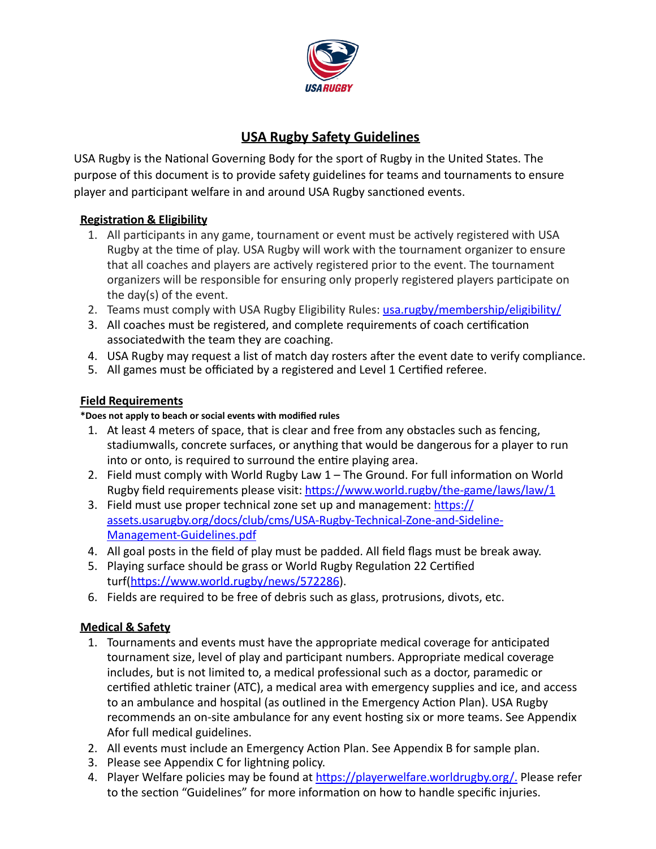

# **USA Rugby Safety Guidelines**

USA Rugby is the National Governing Body for the sport of Rugby in the United States. The purpose of this document is to provide safety guidelines for teams and tournaments to ensure player and participant welfare in and around USA Rugby sanctioned events.

## **Registration & Eligibility**

- 1. All participants in any game, tournament or event must be actively registered with USA Rugby at the time of play. USA Rugby will work with the tournament organizer to ensure that all coaches and players are actively registered prior to the event. The tournament organizers will be responsible for ensuring only properly registered players participate on the day(s) of the event.
- 2. Teams must comply with USA Rugby Eligibility Rules: usa.rugby/membership/eligibility/
- 3. All coaches must be registered, and complete requirements of coach certification associatedwith the team they are coaching.
- 4. USA Rugby may request a list of match day rosters after the event date to verify compliance.
- 5. All games must be officiated by a registered and Level 1 Certified referee.

## **Field Requirements**

### **\*Does not apply to beach or social events with modified rules**

- 1. At least 4 meters of space, that is clear and free from any obstacles such as fencing, stadiumwalls, concrete surfaces, or anything that would be dangerous for a player to run into or onto, is required to surround the entire playing area.
- 2. Field must comply with World Rugby Law  $1$  The Ground. For full information on World Rugby field requirements please visit: https://[www.world.rugby/the-game/laws/law/1](http://www.world.rugby/the-game/laws/law/1)
- 3. Field must use proper technical zone set up and management: https:// assets.usarugby.org/docs/club/cms/USA-Rugby-Technical-Zone-and-Sideline-Management-Guidelines.pdf
- 4. All goal posts in the field of play must be padded. All field flags must be break away.
- 5. Playing surface should be grass or World Rugby Regulation 22 Certified turf(https:/[/www.world.rugby/news/572286\).](http://www.world.rugby/news/572286))
- 6. Fields are required to be free of debris such as glass, protrusions, divots, etc.

## **Medical & Safety**

- 1. Tournaments and events must have the appropriate medical coverage for anticipated tournament size, level of play and participant numbers. Appropriate medical coverage includes, but is not limited to, a medical professional such as a doctor, paramedic or certified athletic trainer (ATC), a medical area with emergency supplies and ice, and access to an ambulance and hospital (as outlined in the Emergency Action Plan). USA Rugby recommends an on-site ambulance for any event hosting six or more teams. See Appendix Afor full medical guidelines.
- 2. All events must include an Emergency Action Plan. See Appendix B for sample plan.
- 3. Please see Appendix C for lightning policy.
- 4. Player Welfare policies may be found at https://playerwelfare.worldrugby.org/. Please refer to the section "Guidelines" for more information on how to handle specific injuries.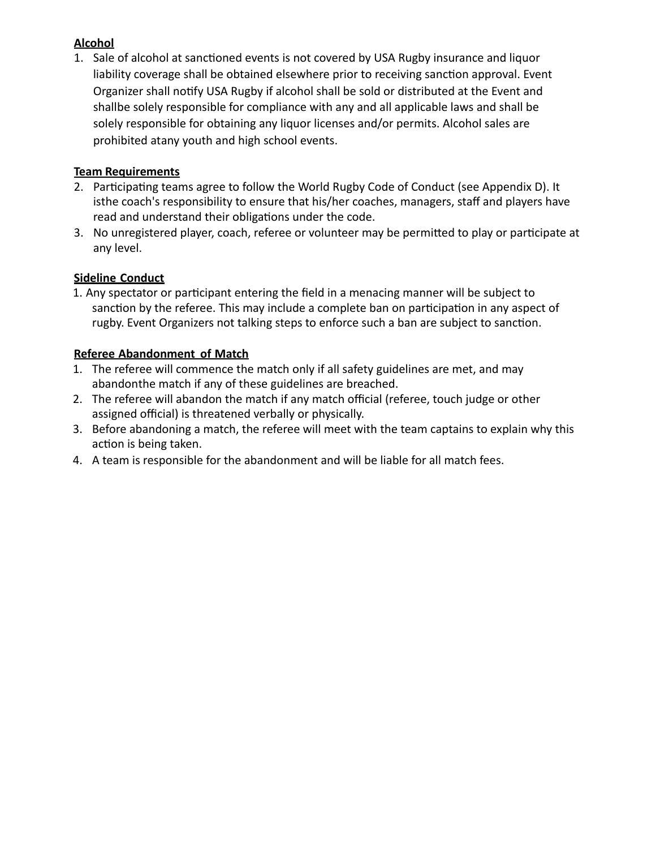## **Alcohol**

1. Sale of alcohol at sanctioned events is not covered by USA Rugby insurance and liquor liability coverage shall be obtained elsewhere prior to receiving sanction approval. Event Organizer shall notify USA Rugby if alcohol shall be sold or distributed at the Event and shallbe solely responsible for compliance with any and all applicable laws and shall be solely responsible for obtaining any liquor licenses and/or permits. Alcohol sales are prohibited atany youth and high school events.

## **Team Requirements**

- 2. Participating teams agree to follow the World Rugby Code of Conduct (see Appendix D). It isthe coach's responsibility to ensure that his/her coaches, managers, staff and players have read and understand their obligations under the code.
- 3. No unregistered player, coach, referee or volunteer may be permitted to play or participate at any level.

# **Sideline Conduct**

1. Any spectator or participant entering the field in a menacing manner will be subject to sanction by the referee. This may include a complete ban on participation in any aspect of rugby. Event Organizers not talking steps to enforce such a ban are subject to sanction.

# **Referee Abandonment of Match**

- 1. The referee will commence the match only if all safety guidelines are met, and may abandonthe match if any of these guidelines are breached.
- 2. The referee will abandon the match if any match official (referee, touch judge or other assigned official) is threatened verbally or physically.
- 3. Before abandoning a match, the referee will meet with the team captains to explain why this action is being taken.
- 4. A team is responsible for the abandonment and will be liable for all match fees.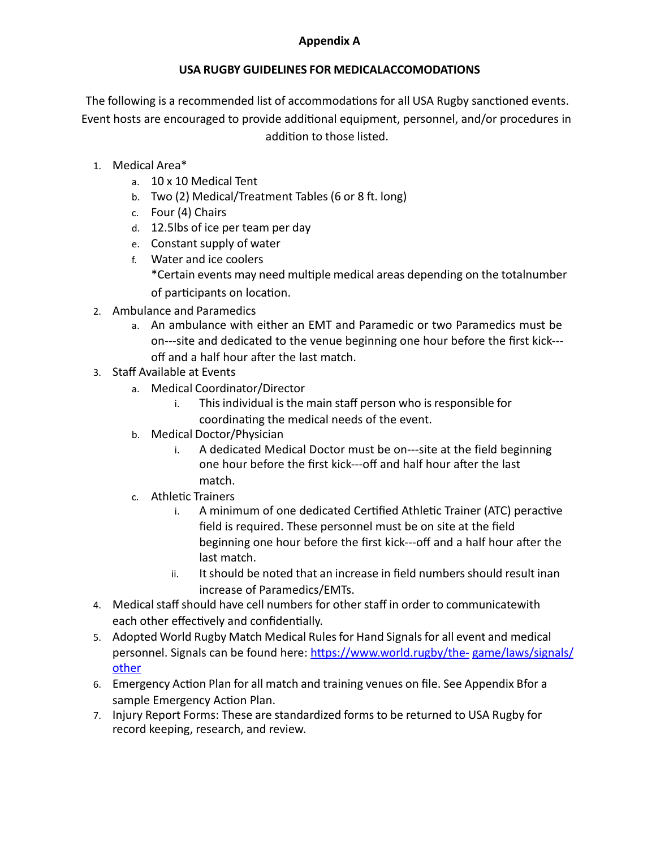### **USA RUGBY GUIDELINES FOR MEDICALACCOMODATIONS**

The following is a recommended list of accommodations for all USA Rugby sanctioned events. Event hosts are encouraged to provide additional equipment, personnel, and/or procedures in addition to those listed.

- 1. Medical Area\*
	- a. 10 x 10 Medical Tent
	- b. Two  $(2)$  Medical/Treatment Tables  $(6$  or  $8$  ft. long)
	- c. Four (4) Chairs
	- d. 12.5lbs of ice per team per day
	- e. Constant supply of water
	- f. Water and ice coolers \*Certain events may need mul1ple medical areas depending on the totalnumber of participants on location.
- 2. Ambulance and Paramedics
	- a. An ambulance with either an EMT and Paramedic or two Paramedics must be on---site and dedicated to the venue beginning one hour before the first kick--off and a half hour after the last match.
- 3. Staff Available at Events
	- a. Medical Coordinator/Director
		- i. This individual is the main staff person who is responsible for coordinating the medical needs of the event.
	- b. Medical Doctor/Physician
		- i. A dedicated Medical Doctor must be on---site at the field beginning one hour before the first kick---off and half hour after the last match.
	- c. Athletic Trainers
		- i. A minimum of one dedicated Certified Athletic Trainer (ATC) peractive field is required. These personnel must be on site at the field beginning one hour before the first kick---off and a half hour after the last match.
		- ii. Itshould be noted that an increase in field numbers should result inan increase of Paramedics/EMTs.
- 4. Medical staff should have cell numbers for other staff in order to communicatewith each other effectively and confidentially.
- 5. Adopted World Rugby Match Medical Rules for Hand Signals for all event and medical personnel. Signals can be found here: https:/[/www.world.rugby/the-](http://www.world.rugby/the-) game/laws/signals/ other
- 6. Emergency Action Plan for all match and training venues on file. See Appendix Bfor a sample Emergency Action Plan.
- 7. Injury Report Forms: These are standardized forms to be returned to USA Rugby for record keeping, research, and review.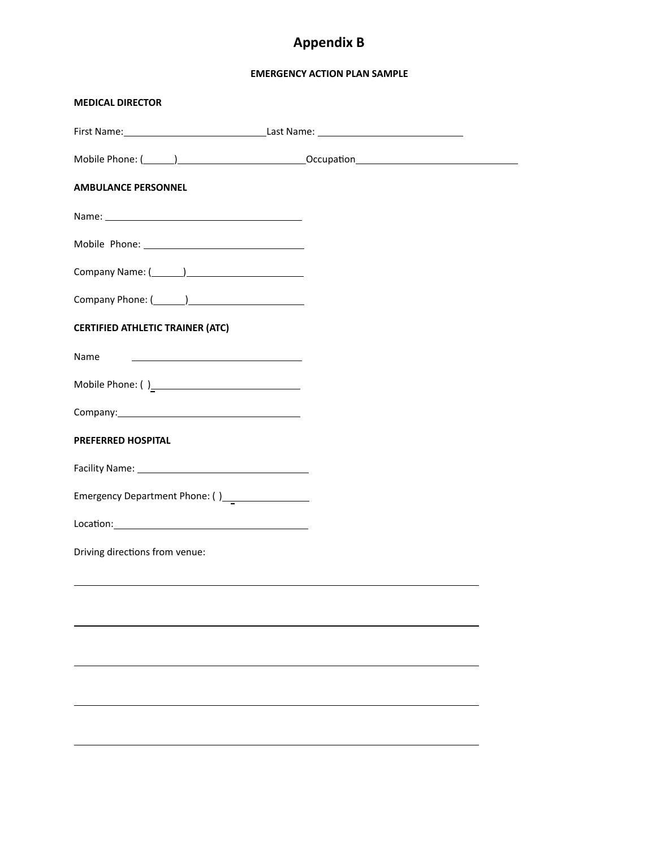# **Appendix B**

#### **EMERGENCY ACTION PLAN SAMPLE**

| <b>MEDICAL DIRECTOR</b>                         |  |
|-------------------------------------------------|--|
|                                                 |  |
|                                                 |  |
| <b>AMBULANCE PERSONNEL</b>                      |  |
|                                                 |  |
|                                                 |  |
|                                                 |  |
|                                                 |  |
| <b>CERTIFIED ATHLETIC TRAINER (ATC)</b>         |  |
| Name                                            |  |
|                                                 |  |
|                                                 |  |
| <b>PREFERRED HOSPITAL</b>                       |  |
|                                                 |  |
| Emergency Department Phone: ()_________________ |  |
|                                                 |  |
| Driving directions from venue:                  |  |
|                                                 |  |
|                                                 |  |
|                                                 |  |
|                                                 |  |
|                                                 |  |
|                                                 |  |
|                                                 |  |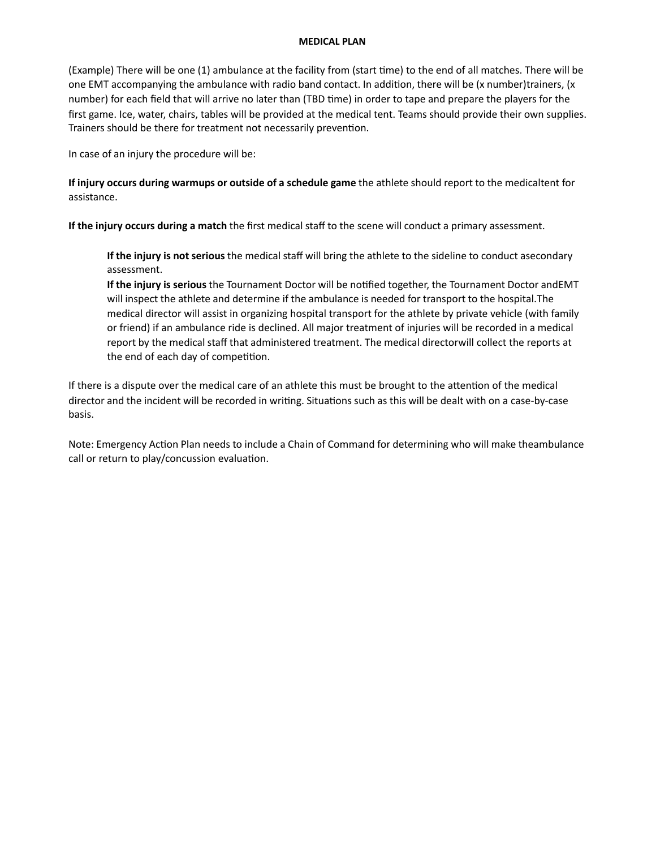#### **MEDICAL PLAN**

(Example) There will be one (1) ambulance at the facility from (start time) to the end of all matches. There will be one EMT accompanying the ambulance with radio band contact. In addition, there will be (x number)trainers, (x number) for each field that will arrive no later than (TBD time) in order to tape and prepare the players for the first game. Ice, water, chairs, tables will be provided at the medical tent. Teams should provide their own supplies. Trainers should be there for treatment not necessarily prevention.

In case of an injury the procedure will be: 

**If injury occurs during warmups or outside of a schedule game** the athlete should report to the medicaltent for assistance. 

**If the injury occurs during a match** the first medical staff to the scene will conduct a primary assessment. 

**If the injury is not serious** the medical staff will bring the athlete to the sideline to conduct asecondary assessment. 

**If the injury is serious** the Tournament Doctor will be notified together, the Tournament Doctor andEMT will inspect the athlete and determine if the ambulance is needed for transport to the hospital.The medical director will assist in organizing hospital transport for the athlete by private vehicle (with family or friend) if an ambulance ride is declined. All major treatment of injuries will be recorded in a medical report by the medical staff that administered treatment. The medical directorwill collect the reports at the end of each day of competition.

If there is a dispute over the medical care of an athlete this must be brought to the attention of the medical director and the incident will be recorded in writing. Situations such as this will be dealt with on a case-by-case basis. 

Note: Emergency Action Plan needs to include a Chain of Command for determining who will make theambulance call or return to play/concussion evaluation.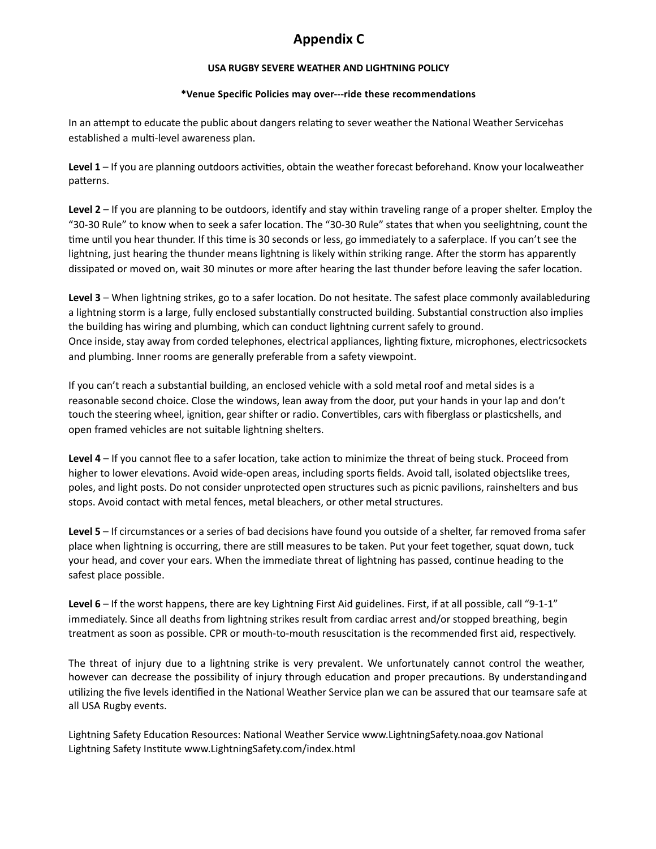# **Appendix C**

#### **USA RUGBY SEVERE WEATHER AND LIGHTNING POLICY**

#### **\*Venue Specific Policies may over---ride these recommendations**

In an attempt to educate the public about dangers relating to sever weather the National Weather Servicehas established a multi-level awareness plan.

**Level 1** – If you are planning outdoors activities, obtain the weather forecast beforehand. Know your localweather patterns.

Level 2 – If you are planning to be outdoors, identify and stay within traveling range of a proper shelter. Employ the "30-30 Rule" to know when to seek a safer location. The "30-30 Rule" states that when you seelightning, count the time until you hear thunder. If this time is 30 seconds or less, go immediately to a saferplace. If you can't see the lightning, just hearing the thunder means lightning is likely within striking range. After the storm has apparently dissipated or moved on, wait 30 minutes or more after hearing the last thunder before leaving the safer location.

Level 3 – When lightning strikes, go to a safer location. Do not hesitate. The safest place commonly availableduring a lightning storm is a large, fully enclosed substantially constructed building. Substantial construction also implies the building has wiring and plumbing, which can conduct lightning current safely to ground. Once inside, stay away from corded telephones, electrical appliances, lighting fixture, microphones, electricsockets and plumbing. Inner rooms are generally preferable from a safety viewpoint.

If you can't reach a substantial building, an enclosed vehicle with a sold metal roof and metal sides is a reasonable second choice. Close the windows, lean away from the door, put your hands in your lap and don't touch the steering wheel, ignition, gear shifter or radio. Convertibles, cars with fiberglass or plasticshells, and open framed vehicles are not suitable lightning shelters.

Level 4 – If you cannot flee to a safer location, take action to minimize the threat of being stuck. Proceed from higher to lower elevations. Avoid wide-open areas, including sports fields. Avoid tall, isolated objectslike trees, poles, and light posts. Do not consider unprotected open structures such as picnic pavilions, rainshelters and bus stops. Avoid contact with metal fences, metal bleachers, or other metal structures. 

Level 5 – If circumstances or a series of bad decisions have found you outside of a shelter, far removed froma safer place when lightning is occurring, there are still measures to be taken. Put your feet together, squat down, tuck your head, and cover your ears. When the immediate threat of lightning has passed, continue heading to the safest place possible.

**Level 6** – If the worst happens, there are key Lightning First Aid guidelines. First, if at all possible, call "9-1-1" immediately. Since all deaths from lightning strikes result from cardiac arrest and/or stopped breathing, begin treatment as soon as possible. CPR or mouth-to-mouth resuscitation is the recommended first aid, respectively.

The threat of injury due to a lightning strike is very prevalent. We unfortunately cannot control the weather, however can decrease the possibility of injury through education and proper precautions. By understandingand utilizing the five levels identified in the National Weather Service plan we can be assured that our teamsare safe at all USA Rugby events.

Lightning Safety Education Resources: National Weather Service [www.LightningSafety.noaa.gov](http://www.LightningSafety.noaa.gov/) National Lightning Safety Institute www.LightningSafety.com/index.html